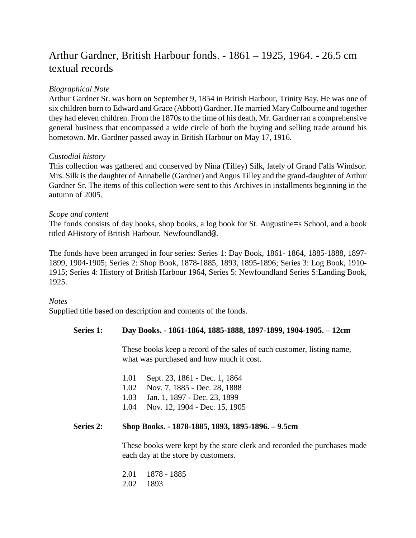# Arthur Gardner, British Harbour fonds. - 1861 – 1925, 1964. - 26.5 cm textual records

## *Biographical Note*

Arthur Gardner Sr. was born on September 9, 1854 in British Harbour, Trinity Bay. He was one of six children born to Edward and Grace (Abbott) Gardner. He married Mary Colbourne and together they had eleven children. From the 1870s to the time of his death, Mr. Gardner ran a comprehensive general business that encompassed a wide circle of both the buying and selling trade around his hometown. Mr. Gardner passed away in British Harbour on May 17, 1916.

## *Custodial history*

This collection was gathered and conserved by Nina (Tilley) Silk, lately of Grand Falls Windsor. Mrs. Silk is the daughter of Annabelle (Gardner) and Angus Tilley and the grand-daughter of Arthur Gardner Sr. The items of this collection were sent to this Archives in installments beginning in the autumn of 2005.

## *Scope and content*

The fonds consists of day books, shop books, a log book for St. Augustine=s School, and a book titled AHistory of British Harbour, Newfoundland@.

The fonds have been arranged in four series: Series 1: Day Book, 1861- 1864, 1885-1888, 1897- 1899, 1904-1905; Series 2: Shop Book, 1878-1885, 1893, 1895-1896; Series 3: Log Book, 1910- 1915; Series 4: History of British Harbour 1964, Series 5: Newfoundland Series S:Landing Book, 1925.

### *Notes*

Supplied title based on description and contents of the fonds.

### **Series 1: Day Books. - 1861-1864, 1885-1888, 1897-1899, 1904-1905. – 12cm**

These books keep a record of the sales of each customer, listing name, what was purchased and how much it cost.

| 1.01 | Sept. 23, 1861 - Dec. 1, 1864      |
|------|------------------------------------|
| 1.02 | Nov. 7, 1885 - Dec. 28, 1888       |
|      | 1.03 Jan. 1, 1897 - Dec. 23, 1899  |
|      | 1.04 Nov. 12, 1904 - Dec. 15, 1905 |

### **Series 2: Shop Books. - 1878-1885, 1893, 1895-1896. – 9.5cm**

These books were kept by the store clerk and recorded the purchases made each day at the store by customers.

| 2.01 | 1878 - 1885 |
|------|-------------|
| 2.02 | 1893        |